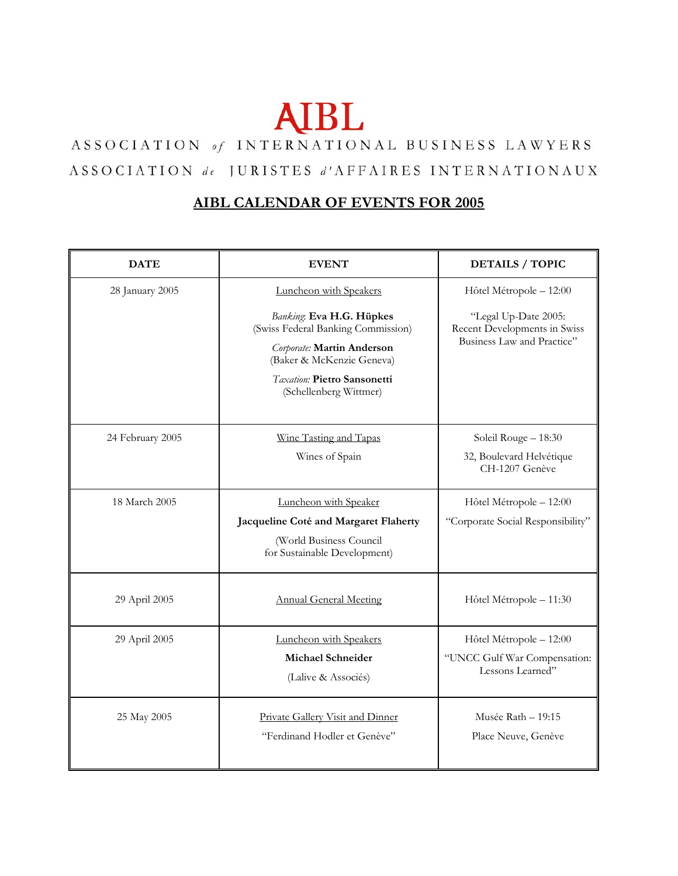## **AIBL**

## ASSOCIATION of INTERNATIONAL BUSINESS LAWYERS ASSOCIATION de JURISTES d'AFFAIRES INTERNATIONAUX

## **AIBL CALENDAR OF EVENTS FOR 2005**

| <b>DATE</b>      | <b>EVENT</b>                                                                                                                                                                                                 | <b>DETAILS / TOPIC</b>                                                                                        |
|------------------|--------------------------------------------------------------------------------------------------------------------------------------------------------------------------------------------------------------|---------------------------------------------------------------------------------------------------------------|
| 28 January 2005  | Luncheon with Speakers<br>Banking: Eva H.G. Hüpkes<br>(Swiss Federal Banking Commission)<br>Corporate: Martin Anderson<br>(Baker & McKenzie Geneva)<br>Taxation: Pietro Sansonetti<br>(Schellenberg Wittmer) | Hôtel Métropole - 12:00<br>"Legal Up-Date 2005:<br>Recent Developments in Swiss<br>Business Law and Practice" |
| 24 February 2005 | Wine Tasting and Tapas<br>Wines of Spain                                                                                                                                                                     | Soleil Rouge - 18:30<br>32, Boulevard Helvétique<br>CH-1207 Genève                                            |
| 18 March 2005    | Luncheon with Speaker<br>Jacqueline Coté and Margaret Flaherty<br>(World Business Council<br>for Sustainable Development)                                                                                    | Hôtel Métropole - 12:00<br>"Corporate Social Responsibility"                                                  |
| 29 April 2005    | <b>Annual General Meeting</b>                                                                                                                                                                                | Hôtel Métropole - 11:30                                                                                       |
| 29 April 2005    | Luncheon with Speakers<br><b>Michael Schneider</b><br>(Lalive & Associés)                                                                                                                                    | Hôtel Métropole - 12:00<br>"UNCC Gulf War Compensation:<br>Lessons Learned"                                   |
| 25 May 2005      | Private Gallery Visit and Dinner<br>"Ferdinand Hodler et Genève"                                                                                                                                             | Musée Rath $-19:15$<br>Place Neuve, Genève                                                                    |